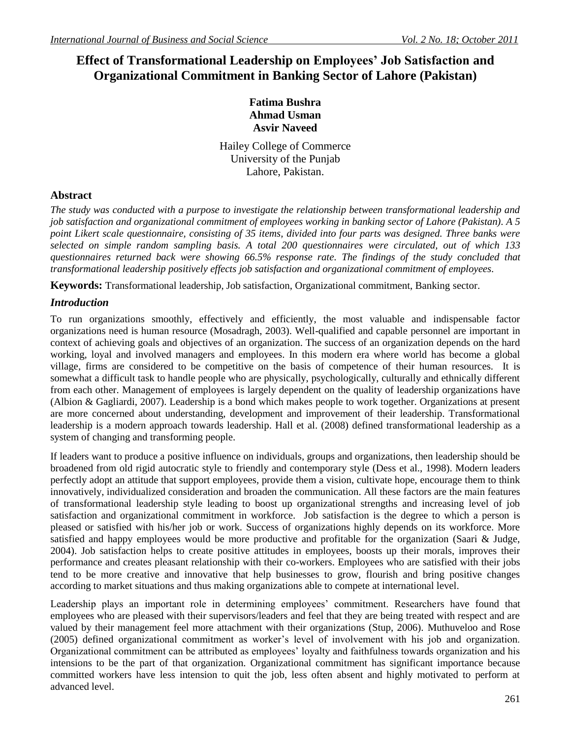# **Effect of Transformational Leadership on Employees' Job Satisfaction and Organizational Commitment in Banking Sector of Lahore (Pakistan)**

## **Fatima Bushra Ahmad Usman Asvir Naveed**

Hailey College of Commerce University of the Punjab Lahore, Pakistan.

## **Abstract**

*The study was conducted with a purpose to investigate the relationship between transformational leadership and job satisfaction and organizational commitment of employees working in banking sector of Lahore (Pakistan). A 5 point Likert scale questionnaire, consisting of 35 items, divided into four parts was designed. Three banks were selected on simple random sampling basis. A total 200 questionnaires were circulated, out of which 133 questionnaires returned back were showing 66.5% response rate. The findings of the study concluded that transformational leadership positively effects job satisfaction and organizational commitment of employees.* 

**Keywords:** Transformational leadership, Job satisfaction, Organizational commitment, Banking sector.

## *Introduction*

To run organizations smoothly, effectively and efficiently, the most valuable and indispensable factor organizations need is human resource (Mosadragh, 2003). Well-qualified and capable personnel are important in context of achieving goals and objectives of an organization. The success of an organization depends on the hard working, loyal and involved managers and employees. In this modern era where world has become a global village, firms are considered to be competitive on the basis of competence of their human resources. It is somewhat a difficult task to handle people who are physically, psychologically, culturally and ethnically different from each other. Management of employees is largely dependent on the quality of leadership organizations have (Albion & Gagliardi, 2007). Leadership is a bond which makes people to work together. Organizations at present are more concerned about understanding, development and improvement of their leadership. Transformational leadership is a modern approach towards leadership. Hall et al. (2008) defined transformational leadership as a system of changing and transforming people.

If leaders want to produce a positive influence on individuals, groups and organizations, then leadership should be broadened from old rigid autocratic style to friendly and contemporary style (Dess et al., 1998). Modern leaders perfectly adopt an attitude that support employees, provide them a vision, cultivate hope, encourage them to think innovatively, individualized consideration and broaden the communication. All these factors are the main features of transformational leadership style leading to boost up organizational strengths and increasing level of job satisfaction and organizational commitment in workforce. Job satisfaction is the degree to which a person is pleased or satisfied with his/her job or work. Success of organizations highly depends on its workforce. More satisfied and happy employees would be more productive and profitable for the organization (Saari & Judge, 2004). Job satisfaction helps to create positive attitudes in employees, boosts up their morals, improves their performance and creates pleasant relationship with their co-workers. Employees who are satisfied with their jobs tend to be more creative and innovative that help businesses to grow, flourish and bring positive changes according to market situations and thus making organizations able to compete at international level.

Leadership plays an important role in determining employees' commitment. Researchers have found that employees who are pleased with their supervisors/leaders and feel that they are being treated with respect and are valued by their management feel more attachment with their organizations (Stup, 2006). Muthuveloo and Rose (2005) defined organizational commitment as worker's level of involvement with his job and organization. Organizational commitment can be attributed as employees' loyalty and faithfulness towards organization and his intensions to be the part of that organization. Organizational commitment has significant importance because committed workers have less intension to quit the job, less often absent and highly motivated to perform at advanced level.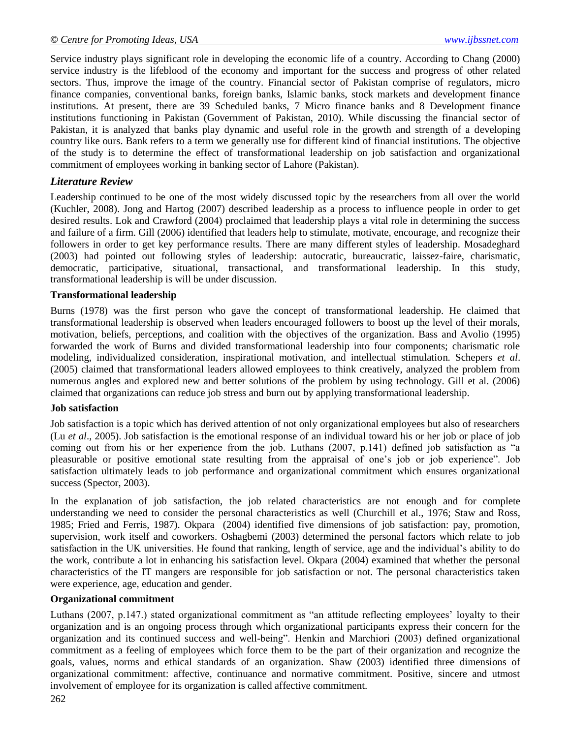Service industry plays significant role in developing the economic life of a country. According to Chang (2000) service industry is the lifeblood of the economy and important for the success and progress of other related sectors. Thus, improve the image of the country. Financial sector of Pakistan comprise of regulators, micro finance companies, conventional banks, foreign banks, Islamic banks, stock markets and development finance institutions. At present, there are 39 Scheduled banks, 7 Micro finance banks and 8 Development finance institutions functioning in Pakistan (Government of Pakistan, 2010). While discussing the financial sector of Pakistan, it is analyzed that banks play dynamic and useful role in the growth and strength of a developing country like ours. Bank refers to a term we generally use for different kind of financial institutions. The objective of the study is to determine the effect of transformational leadership on job satisfaction and organizational commitment of employees working in banking sector of Lahore (Pakistan).

## *Literature Review*

Leadership continued to be one of the most widely discussed topic by the researchers from all over the world (Kuchler, 2008). Jong and Hartog (2007) described leadership as a process to influence people in order to get desired results. Lok and Crawford (2004) proclaimed that leadership plays a vital role in determining the success and failure of a firm. Gill (2006) identified that leaders help to stimulate, motivate, encourage, and recognize their followers in order to get key performance results. There are many different styles of leadership. Mosadeghard (2003) had pointed out following styles of leadership: autocratic, bureaucratic, laissez-faire, charismatic, democratic, participative, situational, transactional, and transformational leadership. In this study, transformational leadership is will be under discussion.

#### **Transformational leadership**

Burns (1978) was the first person who gave the concept of transformational leadership. He claimed that transformational leadership is observed when leaders encouraged followers to boost up the level of their morals, motivation, beliefs, perceptions, and coalition with the objectives of the organization. Bass and Avolio (1995) forwarded the work of Burns and divided transformational leadership into four components; charismatic role modeling, individualized consideration, inspirational motivation, and intellectual stimulation. Schepers *et al*. (2005) claimed that transformational leaders allowed employees to think creatively, analyzed the problem from numerous angles and explored new and better solutions of the problem by using technology. Gill et al. (2006) claimed that organizations can reduce job stress and burn out by applying transformational leadership.

#### **Job satisfaction**

Job satisfaction is a topic which has derived attention of not only organizational employees but also of researchers (Lu *et al*., 2005). Job satisfaction is the emotional response of an individual toward his or her job or place of job coming out from his or her experience from the job. Luthans (2007, p.141) defined job satisfaction as "a pleasurable or positive emotional state resulting from the appraisal of one's job or job experience". Job satisfaction ultimately leads to job performance and organizational commitment which ensures organizational success (Spector, 2003).

In the explanation of job satisfaction, the job related characteristics are not enough and for complete understanding we need to consider the personal characteristics as well (Churchill et al., 1976; Staw and Ross, 1985; Fried and Ferris, 1987). Okpara (2004) identified five dimensions of job satisfaction: pay, promotion, supervision, work itself and coworkers. Oshagbemi (2003) determined the personal factors which relate to job satisfaction in the UK universities. He found that ranking, length of service, age and the individual's ability to do the work, contribute a lot in enhancing his satisfaction level. Okpara (2004) examined that whether the personal characteristics of the IT mangers are responsible for job satisfaction or not. The personal characteristics taken were experience, age, education and gender.

#### **Organizational commitment**

Luthans (2007, p.147.) stated organizational commitment as "an attitude reflecting employees' loyalty to their organization and is an ongoing process through which organizational participants express their concern for the organization and its continued success and well-being". Henkin and Marchiori (2003) defined organizational commitment as a feeling of employees which force them to be the part of their organization and recognize the goals, values, norms and ethical standards of an organization. Shaw (2003) identified three dimensions of organizational commitment: affective, continuance and normative commitment. Positive, sincere and utmost involvement of employee for its organization is called affective commitment.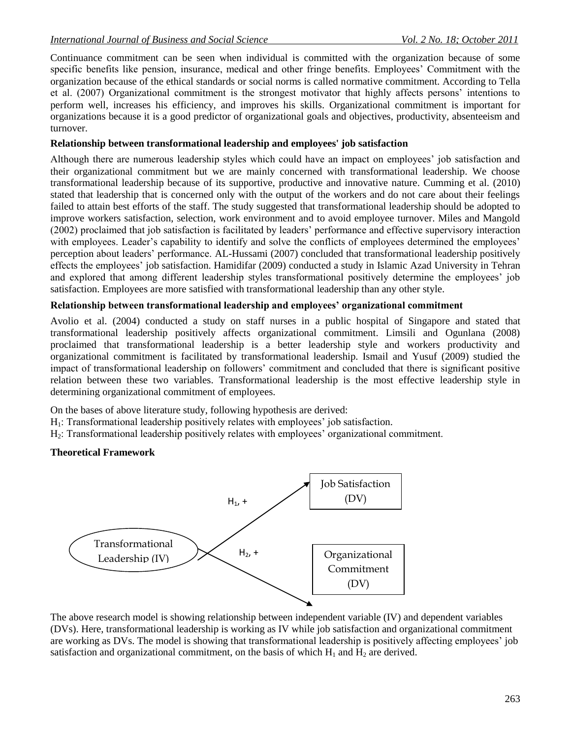Continuance commitment can be seen when individual is committed with the organization because of some specific benefits like pension, insurance, medical and other fringe benefits. Employees' Commitment with the organization because of the ethical standards or social norms is called normative commitment. According to Tella et al. (2007) Organizational commitment is the strongest motivator that highly affects persons' intentions to perform well, increases his efficiency, and improves his skills. Organizational commitment is important for organizations because it is a good predictor of organizational goals and objectives, productivity, absenteeism and turnover.

## **Relationship between transformational leadership and employees' job satisfaction**

Although there are numerous leadership styles which could have an impact on employees' job satisfaction and their organizational commitment but we are mainly concerned with transformational leadership. We choose transformational leadership because of its supportive, productive and innovative nature. Cumming et al. (2010) stated that leadership that is concerned only with the output of the workers and do not care about their feelings failed to attain best efforts of the staff. The study suggested that transformational leadership should be adopted to improve workers satisfaction, selection, work environment and to avoid employee turnover. Miles and Mangold (2002) proclaimed that job satisfaction is facilitated by leaders' performance and effective supervisory interaction with employees. Leader's capability to identify and solve the conflicts of employees determined the employees' perception about leaders' performance. AL-Hussami (2007) concluded that transformational leadership positively effects the employees' job satisfaction. Hamidifar (2009) conducted a study in Islamic Azad University in Tehran and explored that among different leadership styles transformational positively determine the employees' job satisfaction. Employees are more satisfied with transformational leadership than any other style.

### **Relationship between transformational leadership and employees' organizational commitment**

Avolio et al. (2004) conducted a study on staff nurses in a public hospital of Singapore and stated that transformational leadership positively affects organizational commitment. Limsili and Ogunlana (2008) proclaimed that transformational leadership is a better leadership style and workers productivity and organizational commitment is facilitated by transformational leadership. Ismail and Yusuf (2009) studied the impact of transformational leadership on followers' commitment and concluded that there is significant positive relation between these two variables. Transformational leadership is the most effective leadership style in determining organizational commitment of employees.

On the bases of above literature study, following hypothesis are derived:

- $H_1$ : Transformational leadership positively relates with employees' job satisfaction.
- H2: Transformational leadership positively relates with employees' organizational commitment.

### **Theoretical Framework**



The above research model is showing relationship between independent variable (IV) and dependent variables (DVs). Here, transformational leadership is working as IV while job satisfaction and organizational commitment are working as DVs. The model is showing that transformational leadership is positively affecting employees' job satisfaction and organizational commitment, on the basis of which  $H_1$  and  $H_2$  are derived.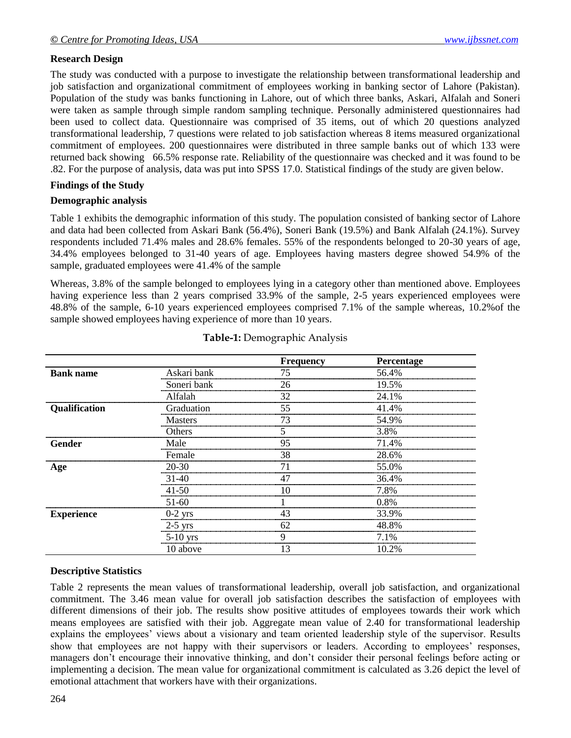## **Research Design**

The study was conducted with a purpose to investigate the relationship between transformational leadership and job satisfaction and organizational commitment of employees working in banking sector of Lahore (Pakistan). Population of the study was banks functioning in Lahore, out of which three banks, Askari, Alfalah and Soneri were taken as sample through simple random sampling technique. Personally administered questionnaires had been used to collect data. Questionnaire was comprised of 35 items, out of which 20 questions analyzed transformational leadership, 7 questions were related to job satisfaction whereas 8 items measured organizational commitment of employees. 200 questionnaires were distributed in three sample banks out of which 133 were returned back showing 66.5% response rate. Reliability of the questionnaire was checked and it was found to be .82. For the purpose of analysis, data was put into SPSS 17.0. Statistical findings of the study are given below.

### **Findings of the Study**

### **Demographic analysis**

Table 1 exhibits the demographic information of this study. The population consisted of banking sector of Lahore and data had been collected from Askari Bank (56.4%), Soneri Bank (19.5%) and Bank Alfalah (24.1%). Survey respondents included 71.4% males and 28.6% females. 55% of the respondents belonged to 20-30 years of age, 34.4% employees belonged to 31-40 years of age. Employees having masters degree showed 54.9% of the sample, graduated employees were 41.4% of the sample

Whereas, 3.8% of the sample belonged to employees lying in a category other than mentioned above. Employees having experience less than 2 years comprised 33.9% of the sample, 2-5 years experienced employees were 48.8% of the sample, 6-10 years experienced employees comprised 7.1% of the sample whereas, 10.2%of the sample showed employees having experience of more than 10 years.

|                      |                | <b>Frequency</b> | Percentage |
|----------------------|----------------|------------------|------------|
| <b>Bank name</b>     | Askari bank    | 75               | 56.4%      |
|                      | Soneri bank    | 26               | 19.5%      |
|                      | Alfalah        | 32               | 24.1%      |
| <b>Qualification</b> | Graduation     | 55               | 41.4%      |
|                      | <b>Masters</b> | 73               | 54.9%      |
|                      | Others         |                  | 3.8%       |
| Gender               | Male           | 95               | 71.4%      |
|                      | Female         | 38               | 28.6%      |
| Age                  | $20 - 30$      | 71               | 55.0%      |
|                      | $31-40$        |                  | 36.4%      |
|                      | $41 - 50$      |                  | 7.8%       |
|                      | $51-60$        |                  | 0.8%       |
| <b>Experience</b>    | $0-2$ yrs      | 43               | 33.9%      |
|                      | $2-5$ yrs      | 62               | 48.8%      |
|                      | $5-10$ yrs     | O                | 7.1%       |
|                      | 10 above       | 13               | 10.2%      |

#### **Table-1:** Demographic Analysis

## **Descriptive Statistics**

Table 2 represents the mean values of transformational leadership, overall job satisfaction, and organizational commitment. The 3.46 mean value for overall job satisfaction describes the satisfaction of employees with different dimensions of their job. The results show positive attitudes of employees towards their work which means employees are satisfied with their job. Aggregate mean value of 2.40 for transformational leadership explains the employees' views about a visionary and team oriented leadership style of the supervisor. Results show that employees are not happy with their supervisors or leaders. According to employees' responses, managers don't encourage their innovative thinking, and don't consider their personal feelings before acting or implementing a decision. The mean value for organizational commitment is calculated as 3.26 depict the level of emotional attachment that workers have with their organizations.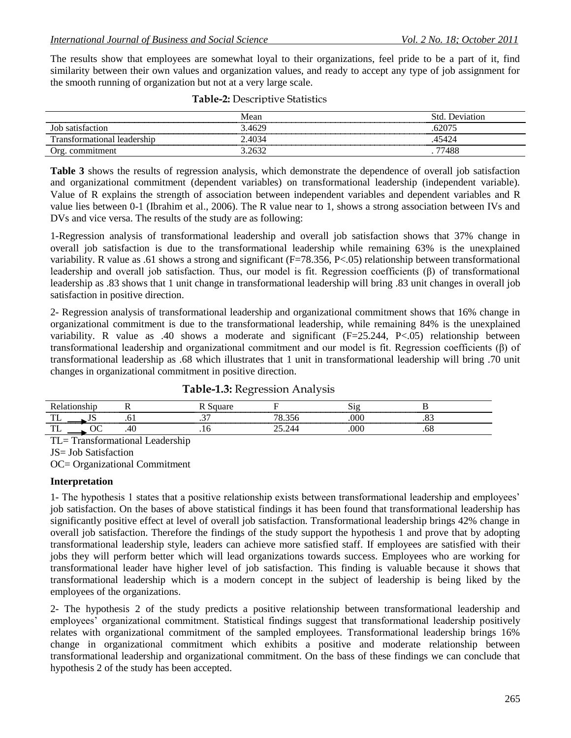The results show that employees are somewhat loyal to their organizations, feel pride to be a part of it, find similarity between their own values and organization values, and ready to accept any type of job assignment for the smooth running of organization but not at a very large scale.

| ------------------             | Mean           | Std<br>Jeviation |
|--------------------------------|----------------|------------------|
| satisfaction<br>Jor<br>------- | 4629.د         | 62075            |
| ranstormational<br>-leadership | 4034           | 15424<br>. 44    |
| commitment<br>. )ro            | $1263^{\circ}$ | 77488            |

| <b>Table-2: Descriptive Statistics</b> |  |
|----------------------------------------|--|
|----------------------------------------|--|

**Table 3** shows the results of regression analysis, which demonstrate the dependence of overall job satisfaction and organizational commitment (dependent variables) on transformational leadership (independent variable). Value of R explains the strength of association between independent variables and dependent variables and R value lies between 0-1 (Ibrahim et al., 2006). The R value near to 1, shows a strong association between IVs and DVs and vice versa. The results of the study are as following:

1-Regression analysis of transformational leadership and overall job satisfaction shows that 37% change in overall job satisfaction is due to the transformational leadership while remaining 63% is the unexplained variability. R value as .61 shows a strong and significant (F=78.356, P<.05) relationship between transformational leadership and overall job satisfaction. Thus, our model is fit. Regression coefficients (β) of transformational leadership as .83 shows that 1 unit change in transformational leadership will bring .83 unit changes in overall job satisfaction in positive direction.

2- Regression analysis of transformational leadership and organizational commitment shows that 16% change in organizational commitment is due to the transformational leadership, while remaining 84% is the unexplained variability. R value as .40 shows a moderate and significant (F=25.244, P<.05) relationship between transformational leadership and organizational commitment and our model is fit. Regression coefficients (β) of transformational leadership as .68 which illustrates that 1 unit in transformational leadership will bring .70 unit changes in organizational commitment in positive direction.

|                |  | -------------------- |  |
|----------------|--|----------------------|--|
| m<br>. .       |  |                      |  |
| $\overline{ }$ |  |                      |  |

**Table-1.3:** Regression Analysis

TL= Transformational Leadership

JS= Job Satisfaction

OC= Organizational Commitment

#### **Interpretation**

1- The hypothesis 1 states that a positive relationship exists between transformational leadership and employees' job satisfaction. On the bases of above statistical findings it has been found that transformational leadership has significantly positive effect at level of overall job satisfaction. Transformational leadership brings 42% change in overall job satisfaction. Therefore the findings of the study support the hypothesis 1 and prove that by adopting transformational leadership style, leaders can achieve more satisfied staff. If employees are satisfied with their jobs they will perform better which will lead organizations towards success. Employees who are working for transformational leader have higher level of job satisfaction. This finding is valuable because it shows that transformational leadership which is a modern concept in the subject of leadership is being liked by the employees of the organizations.

2- The hypothesis 2 of the study predicts a positive relationship between transformational leadership and employees' organizational commitment. Statistical findings suggest that transformational leadership positively relates with organizational commitment of the sampled employees. Transformational leadership brings 16% change in organizational commitment which exhibits a positive and moderate relationship between transformational leadership and organizational commitment. On the bass of these findings we can conclude that hypothesis 2 of the study has been accepted.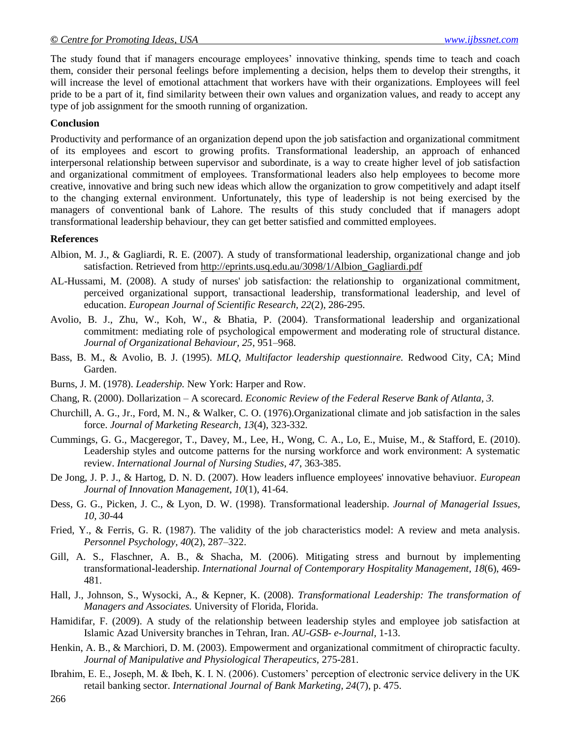The study found that if managers encourage employees' innovative thinking, spends time to teach and coach them, consider their personal feelings before implementing a decision, helps them to develop their strengths, it will increase the level of emotional attachment that workers have with their organizations. Employees will feel pride to be a part of it, find similarity between their own values and organization values, and ready to accept any type of job assignment for the smooth running of organization.

#### **Conclusion**

Productivity and performance of an organization depend upon the job satisfaction and organizational commitment of its employees and escort to growing profits. Transformational leadership, an approach of enhanced interpersonal relationship between supervisor and subordinate, is a way to create higher level of job satisfaction and organizational commitment of employees. Transformational leaders also help employees to become more creative, innovative and bring such new ideas which allow the organization to grow competitively and adapt itself to the changing external environment. Unfortunately, this type of leadership is not being exercised by the managers of conventional bank of Lahore. The results of this study concluded that if managers adopt transformational leadership behaviour, they can get better satisfied and committed employees.

#### **References**

- Albion, M. J., & Gagliardi, R. E. (2007). A study of transformational leadership, organizational change and job satisfaction. Retrieved from [http://eprints.usq.edu.au/3098/1/Albion\\_Gagliardi.pdf](http://eprints.usq.edu.au/3098/1/Albion_Gagliardi.pdf)
- AL-Hussami, M. (2008). A study of nurses' job satisfaction: the relationship to organizational commitment, perceived organizational support, transactional leadership, transformational leadership, and level of education. *European Journal of Scientific Research, 22*(2), 286-295.
- Avolio, B. J., Zhu, W., Koh, W., & Bhatia, P. (2004). Transformational leadership and organizational commitment: mediating role of psychological empowerment and moderating role of structural distance. *Journal of Organizational Behaviour, 25*, 951–968.
- Bass, B. M., & Avolio, B. J. (1995). *MLQ, Multifactor leadership questionnaire.* Redwood City, CA; Mind Garden.
- Burns, J. M. (1978). *Leadership.* New York: Harper and Row.
- Chang, R. (2000). Dollarization A scorecard. *Economic Review of the Federal Reserve Bank of Atlanta, 3.*
- Churchill, A. G., Jr., Ford, M. N., & Walker, C. O. (1976).Organizational climate and job satisfaction in the sales force. *Journal of Marketing Research, 13*(4), 323-332*.*
- Cummings, G. G., Macgeregor, T., Davey, M., Lee, H., Wong, C. A., Lo, E., Muise, M., & Stafford, E. (2010). Leadership styles and outcome patterns for the nursing workforce and work environment: A systematic review. *International Journal of Nursing Studies*, *47*, 363-385.
- De Jong, J. P. J., & Hartog, D. N. D. (2007). How leaders influence employees' innovative behaviuor. *European Journal of Innovation Management*, *10*(1), 41-64.
- Dess, G. G., Picken, J. C., & Lyon, D. W. (1998)*.* Transformational leadership. *Journal of Managerial Issues, 10, 30*-44
- Fried, Y., & Ferris, G. R. (1987). The validity of the job characteristics model: A review and meta analysis. *Personnel Psychology, 40*(2), 287–322.
- Gill, A. S., Flaschner, A. B., & Shacha, M. (2006). Mitigating stress and burnout by implementing transformational-leadership. *International Journal of Contemporary Hospitality Management*, *18*(6), 469- 481.
- Hall, J., Johnson, S., Wysocki, A., & Kepner, K. (2008). *Transformational Leadership: The transformation of Managers and Associates.* University of Florida, Florida.
- Hamidifar, F. (2009). A study of the relationship between leadership styles and employee job satisfaction at Islamic Azad University branches in Tehran, Iran. *AU-GSB- e-Journal,* 1-13.
- Henkin, A. B., & Marchiori, D. M. (2003). Empowerment and organizational commitment of chiropractic faculty. *Journal of Manipulative and Physiological Therapeutics,* 275-281.
- Ibrahim, E. E., Joseph, M. & Ibeh, K. I. N. (2006). Customers' perception of electronic service delivery in the UK retail banking sector. *International Journal of Bank Marketing, 24*(7), p. 475.